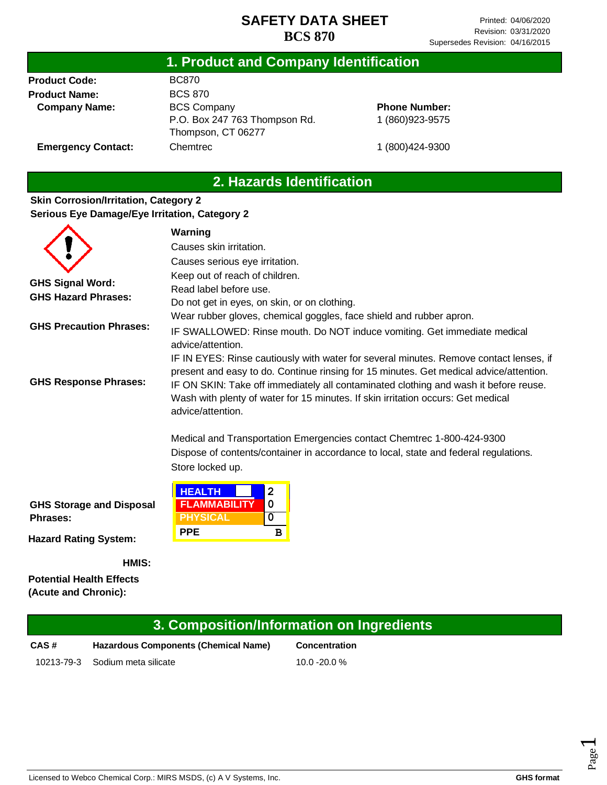### **1. Product and Company Identification**

**Product Code: Product Name: Company Name:** BC870 BCS 870 BCS Company P.O. Box 247 763 Thompson Rd. Thompson, CT 06277 **Chemtrec** 

### **Phone Number:** 1 (860)923-9575

**Emergency Contact:**

1 (800)424-9300

## **2. Hazards Identification**

#### **Skin Corrosion/Irritation, Category 2 Serious Eye Damage/Eye Irritation, Category 2**

|                                                       | Warning                                                                                                                                                                                                                                                                                                                                                                           |  |  |
|-------------------------------------------------------|-----------------------------------------------------------------------------------------------------------------------------------------------------------------------------------------------------------------------------------------------------------------------------------------------------------------------------------------------------------------------------------|--|--|
|                                                       | Causes skin irritation.                                                                                                                                                                                                                                                                                                                                                           |  |  |
|                                                       | Causes serious eye irritation.                                                                                                                                                                                                                                                                                                                                                    |  |  |
| <b>GHS Signal Word:</b><br><b>GHS Hazard Phrases:</b> | Keep out of reach of children.<br>Read label before use.<br>Do not get in eyes, on skin, or on clothing.                                                                                                                                                                                                                                                                          |  |  |
| <b>GHS Precaution Phrases:</b>                        | Wear rubber gloves, chemical goggles, face shield and rubber apron.<br>IF SWALLOWED: Rinse mouth. Do NOT induce vomiting. Get immediate medical<br>advice/attention.                                                                                                                                                                                                              |  |  |
| <b>GHS Response Phrases:</b>                          | IF IN EYES: Rinse cautiously with water for several minutes. Remove contact lenses, if<br>present and easy to do. Continue rinsing for 15 minutes. Get medical advice/attention.<br>IF ON SKIN: Take off immediately all contaminated clothing and wash it before reuse.<br>Wash with plenty of water for 15 minutes. If skin irritation occurs: Get medical<br>advice/attention. |  |  |
|                                                       | Medical and Transportation Emergencies contact Chemtrec 1-800-424-9300<br>Dispose of contents/container in accordance to local, state and federal regulations.<br>Store locked up.                                                                                                                                                                                                |  |  |
| <b>GHS Storage and Disposal</b><br><b>Phrases:</b>    | <b>HEALTH</b><br>$\overline{2}$<br>0<br><b>FLAMMABILITY</b><br><b>PHYSICAL</b><br>0                                                                                                                                                                                                                                                                                               |  |  |
| <b>Hazard Rating System:</b>                          | <b>PPE</b><br>в                                                                                                                                                                                                                                                                                                                                                                   |  |  |

**HMIS:**

**Potential Health Effects (Acute and Chronic):**

# **CAS # Hazardous Components (Chemical Name) Concentration 3. Composition/Information on Ingredients**

10213-79-3 Sodium meta silicate 10.0 -20.0 %

Page  $\overline{\phantom{0}}$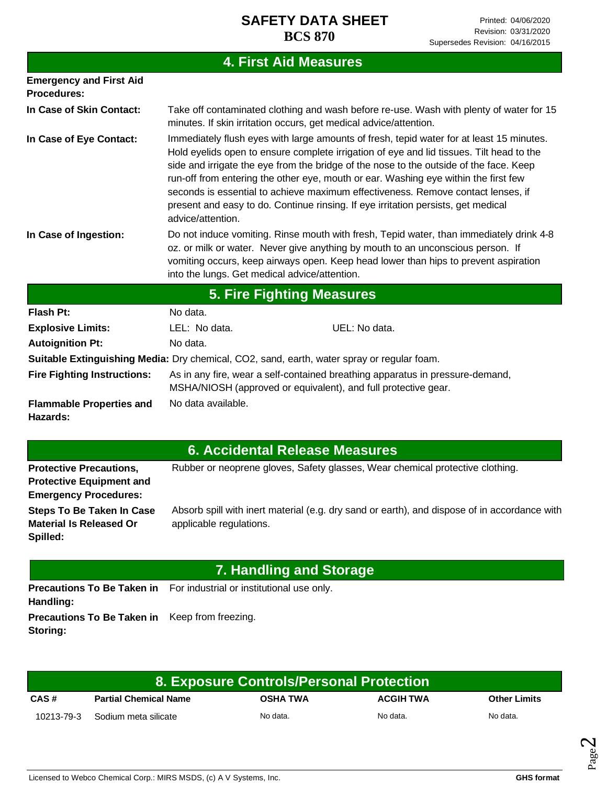|                                                      | <b>4. First Aid Measures</b>                                                                                                                                                                                                                                                                                       |                                                                                                                                                                                                                                                                                                                                                                                                                                                                                                                                                |  |
|------------------------------------------------------|--------------------------------------------------------------------------------------------------------------------------------------------------------------------------------------------------------------------------------------------------------------------------------------------------------------------|------------------------------------------------------------------------------------------------------------------------------------------------------------------------------------------------------------------------------------------------------------------------------------------------------------------------------------------------------------------------------------------------------------------------------------------------------------------------------------------------------------------------------------------------|--|
| <b>Emergency and First Aid</b><br><b>Procedures:</b> |                                                                                                                                                                                                                                                                                                                    |                                                                                                                                                                                                                                                                                                                                                                                                                                                                                                                                                |  |
| In Case of Skin Contact:                             | minutes. If skin irritation occurs, get medical advice/attention.                                                                                                                                                                                                                                                  | Take off contaminated clothing and wash before re-use. Wash with plenty of water for 15                                                                                                                                                                                                                                                                                                                                                                                                                                                        |  |
| In Case of Eye Contact:                              | advice/attention.                                                                                                                                                                                                                                                                                                  | Immediately flush eyes with large amounts of fresh, tepid water for at least 15 minutes.<br>Hold eyelids open to ensure complete irrigation of eye and lid tissues. Tilt head to the<br>side and irrigate the eye from the bridge of the nose to the outside of the face. Keep<br>run-off from entering the other eye, mouth or ear. Washing eye within the first few<br>seconds is essential to achieve maximum effectiveness. Remove contact lenses, if<br>present and easy to do. Continue rinsing. If eye irritation persists, get medical |  |
| In Case of Ingestion:                                | Do not induce vomiting. Rinse mouth with fresh, Tepid water, than immediately drink 4-8<br>oz. or milk or water. Never give anything by mouth to an unconscious person. If<br>vomiting occurs, keep airways open. Keep head lower than hips to prevent aspiration<br>into the lungs. Get medical advice/attention. |                                                                                                                                                                                                                                                                                                                                                                                                                                                                                                                                                |  |
| <b>5. Fire Fighting Measures</b>                     |                                                                                                                                                                                                                                                                                                                    |                                                                                                                                                                                                                                                                                                                                                                                                                                                                                                                                                |  |
| Flash Pt:                                            | No data.                                                                                                                                                                                                                                                                                                           |                                                                                                                                                                                                                                                                                                                                                                                                                                                                                                                                                |  |
| <b>Explosive Limits:</b>                             | UEL: No data.<br>LEL: No data.                                                                                                                                                                                                                                                                                     |                                                                                                                                                                                                                                                                                                                                                                                                                                                                                                                                                |  |
| <b>Autoignition Pt:</b>                              | No data.                                                                                                                                                                                                                                                                                                           |                                                                                                                                                                                                                                                                                                                                                                                                                                                                                                                                                |  |
|                                                      | Suitable Extinguishing Media: Dry chemical, CO2, sand, earth, water spray or regular foam.                                                                                                                                                                                                                         |                                                                                                                                                                                                                                                                                                                                                                                                                                                                                                                                                |  |
| <b>Fire Fighting Instructions:</b>                   | As in any fire, wear a self-contained breathing apparatus in pressure-demand,<br>MSHA/NIOSH (approved or equivalent), and full protective gear.                                                                                                                                                                    |                                                                                                                                                                                                                                                                                                                                                                                                                                                                                                                                                |  |
| <b>Flammable Properties and</b><br>Hazards:          | No data available.                                                                                                                                                                                                                                                                                                 |                                                                                                                                                                                                                                                                                                                                                                                                                                                                                                                                                |  |

|  |  | 6. Accidental Release Measures |  |
|--|--|--------------------------------|--|

| <b>Protective Precautions,</b>  | Rubber or neoprene gloves, Safety glasses, Wear chemical protective clothing.                |
|---------------------------------|----------------------------------------------------------------------------------------------|
| <b>Protective Equipment and</b> |                                                                                              |
| <b>Emergency Procedures:</b>    |                                                                                              |
| Steps To Be Taken In Case       | Absorb spill with inert material (e.g. dry sand or earth), and dispose of in accordance with |
| <b>Material Is Released Or</b>  | applicable regulations.                                                                      |
| Spilled:                        |                                                                                              |

## **7. Handling and Storage**

Precautions To Be Taken in For industrial or institutional use only. **Handling: Precautions To Be Taken in**  Keep from freezing. **Storing:**

| 8. Exposure Controls/Personal Protection |                                 |                 |                  |                     |
|------------------------------------------|---------------------------------|-----------------|------------------|---------------------|
| CAS#                                     | <b>Partial Chemical Name</b>    | <b>OSHA TWA</b> | <b>ACGIH TWA</b> | <b>Other Limits</b> |
|                                          | 10213-79-3 Sodium meta silicate | No data.        | No data.         | No data.            |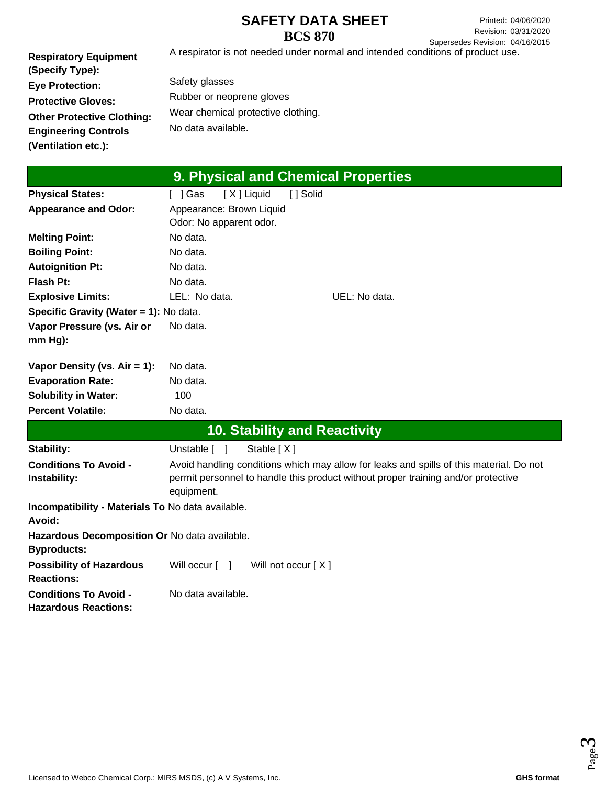Printed: 04/06/2020 Revision: 03/31/2020 Supersedes Revision: 04/16/2015

**Respiratory Equipment (Specify Type): Eye Protection: Protective Gloves: Other Protective Clothing: Engineering Controls (Ventilation etc.):** A respirator is not needed under normal and intended conditions of product use. Safety glasses Rubber or neoprene gloves Wear chemical protective clothing. No data available.

|                                                             | 9. Physical and Chemical Properties                                                     |
|-------------------------------------------------------------|-----------------------------------------------------------------------------------------|
| <b>Physical States:</b>                                     | [ ] Solid<br>[X] Liquid<br>[ ] Gas                                                      |
| <b>Appearance and Odor:</b>                                 | Appearance: Brown Liquid                                                                |
|                                                             | Odor: No apparent odor.                                                                 |
| <b>Melting Point:</b>                                       | No data.                                                                                |
| <b>Boiling Point:</b>                                       | No data.                                                                                |
| <b>Autoignition Pt:</b>                                     | No data.                                                                                |
| <b>Flash Pt:</b>                                            | No data.                                                                                |
| <b>Explosive Limits:</b>                                    | LEL: No data.<br>UEL: No data.                                                          |
| Specific Gravity (Water = 1): No data.                      |                                                                                         |
| Vapor Pressure (vs. Air or                                  | No data.                                                                                |
| mm Hg):                                                     |                                                                                         |
|                                                             |                                                                                         |
| Vapor Density (vs. $Air = 1$ ):                             | No data.                                                                                |
| <b>Evaporation Rate:</b>                                    | No data.                                                                                |
| <b>Solubility in Water:</b>                                 | 100                                                                                     |
| <b>Percent Volatile:</b>                                    | No data.                                                                                |
|                                                             | <b>10. Stability and Reactivity</b>                                                     |
| <b>Stability:</b>                                           | Unstable $\lceil \quad \rceil$<br>Stable $[X]$                                          |
| <b>Conditions To Avoid -</b>                                | Avoid handling conditions which may allow for leaks and spills of this material. Do not |
| Instability:                                                | permit personnel to handle this product without proper training and/or protective       |
|                                                             | equipment.                                                                              |
| Incompatibility - Materials To No data available.<br>Avoid: |                                                                                         |
| Hazardous Decomposition Or No data available.               |                                                                                         |
| <b>Byproducts:</b>                                          |                                                                                         |
| <b>Possibility of Hazardous</b>                             | Will occur [ ]<br>Will not occur $[X]$                                                  |
| <b>Reactions:</b>                                           |                                                                                         |
| <b>Conditions To Avoid -</b>                                | No data available.                                                                      |
| <b>Hazardous Reactions:</b>                                 |                                                                                         |